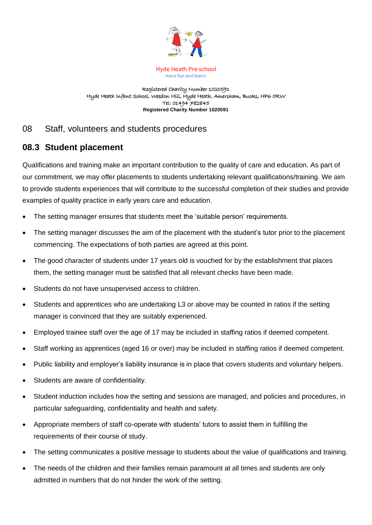

Hyde Heath Pre-school Have fun and learn!

Registered Charity Number 1020591 Hyde Heath Infant School, Weedon Hill, Hyde Heath, Amersham, Bucks, HP6 5RW Tel: 01494 782845 **Registered Charity Number 1020591**

## 08 Staff, volunteers and students procedures

## **08.3 Student placement**

Qualifications and training make an important contribution to the quality of care and education. As part of our commitment, we may offer placements to students undertaking relevant qualifications/training. We aim to provide students experiences that will contribute to the successful completion of their studies and provide examples of quality practice in early years care and education.

- The setting manager ensures that students meet the 'suitable person' requirements.
- The setting manager discusses the aim of the placement with the student's tutor prior to the placement commencing. The expectations of both parties are agreed at this point.
- The good character of students under 17 years old is vouched for by the establishment that places them, the setting manager must be satisfied that all relevant checks have been made.
- Students do not have unsupervised access to children.
- Students and apprentices who are undertaking L3 or above may be counted in ratios if the setting manager is convinced that they are suitably experienced.
- Employed trainee staff over the age of 17 may be included in staffing ratios if deemed competent.
- Staff working as apprentices (aged 16 or over) may be included in staffing ratios if deemed competent.
- Public liability and employer's liability insurance is in place that covers students and voluntary helpers.
- Students are aware of confidentiality.
- Student induction includes how the setting and sessions are managed, and policies and procedures, in particular safeguarding, confidentiality and health and safety.
- Appropriate members of staff co-operate with students' tutors to assist them in fulfilling the requirements of their course of study.
- The setting communicates a positive message to students about the value of qualifications and training.
- The needs of the children and their families remain paramount at all times and students are only admitted in numbers that do not hinder the work of the setting.